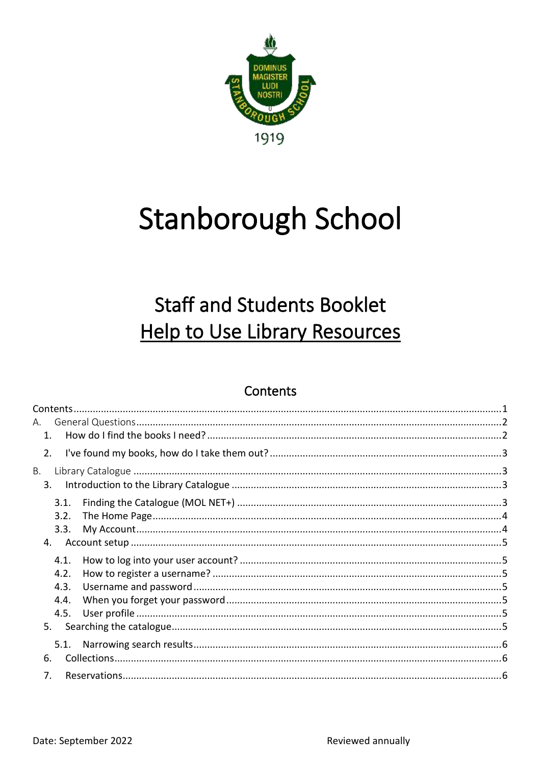

# **Stanborough School**

# **Staff and Students Booklet Help to Use Library Resources**

### Contents

<span id="page-0-0"></span>

| А. |      |  |
|----|------|--|
|    | 1.   |  |
|    | 2.   |  |
| В. |      |  |
|    | 3.   |  |
|    | 3.1. |  |
|    | 3.2. |  |
|    | 3.3. |  |
|    | 4.   |  |
|    | 4.1. |  |
|    | 4.2. |  |
|    | 4.3. |  |
|    | 4.4. |  |
|    | 4.5. |  |
|    | 5.   |  |
|    | 5.1. |  |
|    | 6.   |  |
|    | 7.   |  |
|    |      |  |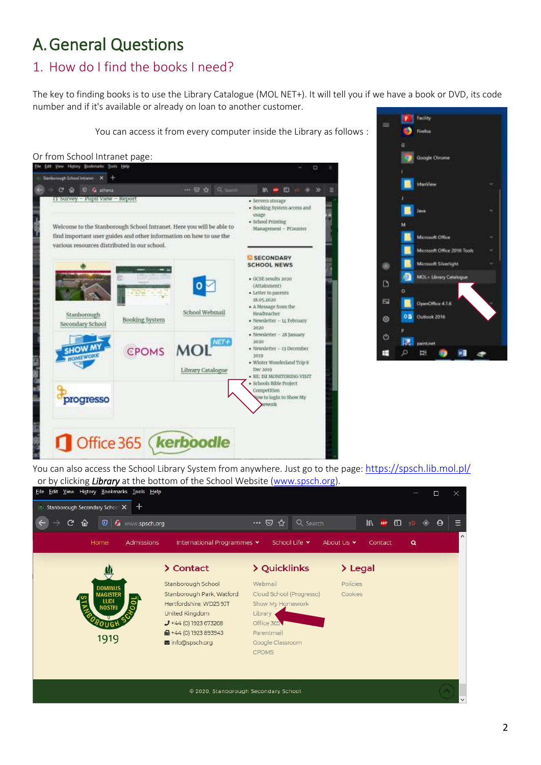# <span id="page-1-0"></span>A.General Questions

## <span id="page-1-1"></span>1. How do I find the books I need?

The key to finding books is to use the Library Catalogue (MOL NET+). It will tell you if we have a book or DVD, its code number and if it's available or already on loan to another customer.

**Fall** Sectory You can access it from every computer inside the Library as follows : ø Firefox Or from School Intranet page:<br>The Edit West Habson Boomsky Tool Her **Google Chrome** ö Stanborough School Intranet ... X +  $\cdots \otimes \alpha \otimes \alpha$  $\epsilon$ 11. ■ 日 白 + 分 TT Survey - Pupil View - Report · Servers storage · Booking System access and usage · School Printing Welcome to the Stanborough School Intranet. Here you will be able to Management - PCounter find important user guides and other information on how to use the Microsoft Office various resources distributed in our school. Microsoft Office 2016 Tools **D** SECONDARY **SCHOOL NEWS** Microsoft Silverlight MOL- Library Catal · GCSE results 2020  $\Box$  $\overline{0}$ (Attainment) · Letter to parents 18.05.2020 钩 OpenOffice 4.1.6 · A Message from the School Webmail Headteacher Stanborough o s Outlook 2016 ම Booking System · Newsletter - 14 February Secondary School  $2020$ · Newsletter - 28 January  $\circ$ 2020 NET-**CPOMS** MO. - Newsletter - 13 December Ħ Ŧ ø w. 2010 · Winter Wonderland Trip 8 Dec 2019 Library Catalogue RE: 1SI MONITORING VISIT · Schools Bible Project Competition w to login to Show My progresso week Office 365 **kerboodle** 

You can also access the School Library System from anywhere. Just go to the page: <https://spsch.lib.mol.pl/> or by clicking *Library* at the bottom of the School Website [\(www.spsch.org\)](http://www.spsch.org/).<br>Eile Edit View History Bookmarks Tools Help

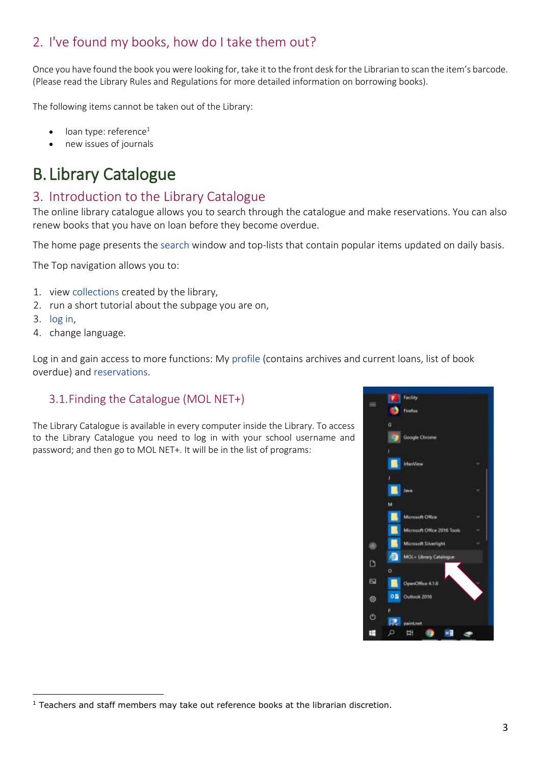## <span id="page-2-0"></span>2. I've found my books, how do I take them out?

Once you have found the book you were looking for, take it to the front desk for the Librarian to scan the item's barcode. (Please read the Library Rules and Regulations for more detailed information on borrowing books).

The following items cannot be taken out of the Library:

- loan type: reference $1$
- new issues of journals

# <span id="page-2-1"></span>B. Library Catalogue

### <span id="page-2-2"></span>3. Introduction to the Library Catalogue

The online library catalogue allows you to search through the catalogue and make reservations. You can also renew books that you have on loan before they become overdue.

The home page presents th[e search](https://spsch.lib.mol.pl/manual#manual-search) window and top-lists that contain popular items updated on daily basis.

The Top navigation allows you to:

- 1. view [collections](https://spsch.lib.mol.pl/manual#manual-collections) created by the library,
- 2. run a short tutorial about the subpage you are on,
- 3. [log in,](https://spsch.lib.mol.pl/manual#manual-login)
- 4. change language.

Log in and gain access to more functions: My [profile](https://spsch.lib.mol.pl/manual#manual-profile) (contains archives and current loans, list of book overdue) and [reservations.](https://spsch.lib.mol.pl/manual#manual-reservations)

#### <span id="page-2-3"></span>3.1.Finding the Catalogue (MOL NET+)

The Library Catalogue is available in every computer inside the Library. To access to the Library Catalogue you need to log in with your school username and password; and then go to MOL NET+. It will be in the list of programs:



 $<sup>1</sup>$  Teachers and staff members may take out reference books at the librarian discretion.</sup>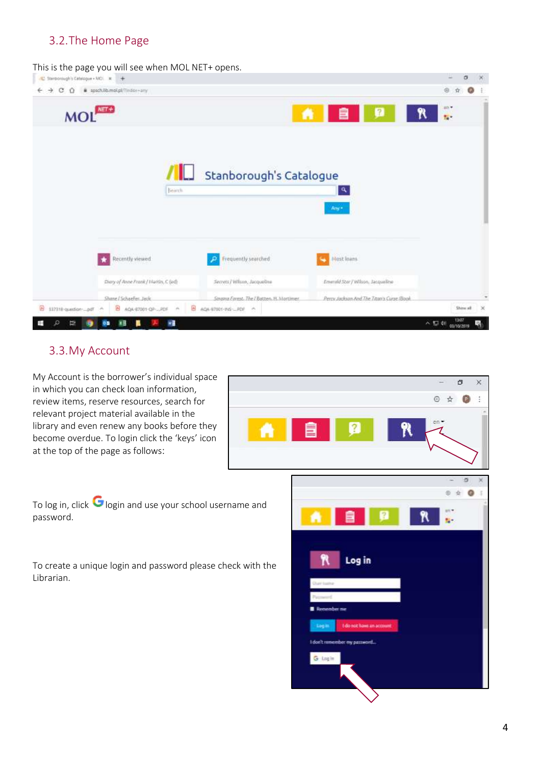#### <span id="page-3-0"></span>3.2.The Home Page

This is the page you will see when MOL NET+ opens.

| C Stanborough's Catalogue + NCI R<br>$+$                   |         |                              |                                            |                                          |                 |            | σ |
|------------------------------------------------------------|---------|------------------------------|--------------------------------------------|------------------------------------------|-----------------|------------|---|
| C.<br>pachib.molpl/lindor-any<br>$\rightarrow$<br>$\Omega$ |         |                              |                                            |                                          |                 | $^{\circ}$ | ø |
| <b>MOI</b>                                                 |         |                              | A.                                         | 自                                        | $\sqrt{2}$<br>R | an -<br>g. |   |
|                                                            |         |                              |                                            |                                          |                 |            |   |
|                                                            | IL      |                              | Stanborough's Catalogue                    |                                          |                 |            |   |
|                                                            | Search. |                              |                                            | $\mathbf{a}$                             |                 |            |   |
|                                                            |         |                              |                                            | Any*                                     |                 |            |   |
|                                                            |         |                              |                                            |                                          |                 |            |   |
|                                                            |         |                              |                                            |                                          |                 |            |   |
|                                                            |         |                              |                                            |                                          |                 |            |   |
| Recently viewed                                            |         | Frequently searched          |                                            | Most Inens                               |                 |            |   |
| Diary of Anne Frank / Markin, C (ed)                       |         | Secrets / Wilson, Jacqueline |                                            | Emerald Star / Wilson, Jacqueline        |                 |            |   |
|                                                            |         |                              |                                            |                                          |                 |            |   |
| Shane / Schaefer, Jack.                                    |         |                              | Singing Forest: The I Batten, H. Mortimer. | Percy Judgon And The Titan's Curse (Book |                 |            |   |

#### <span id="page-3-1"></span>3.3.My Account

My Account is the borrower's individual space in which you can check loan information, review items, reserve resources, search for relevant project material available in the library and even renew any books before they become overdue. To login click the 'keys' icon at the top of the page as follows:



To log in, click  $\bigcirc$  login and use your school username and password.

To create a unique login and password please check with the Librarian.

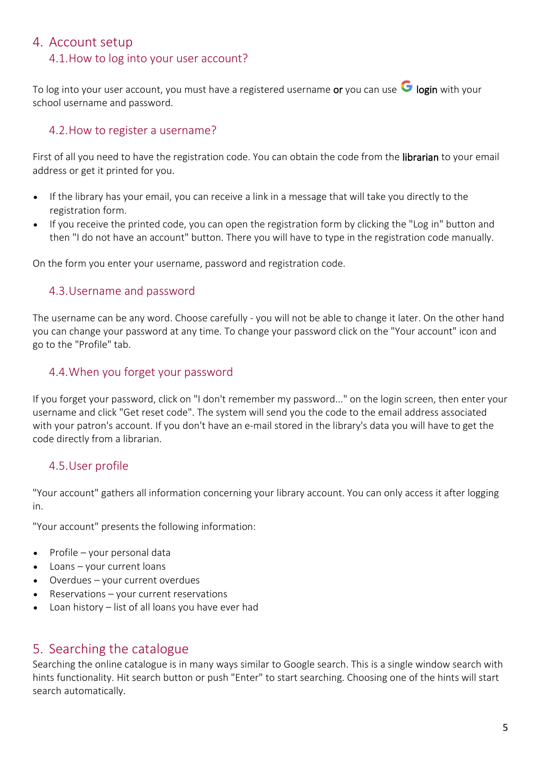#### <span id="page-4-1"></span><span id="page-4-0"></span>4. Account setup

#### 4.1.How to log into your user account?

To log into your user account, you must have a registered username or you can use  $\bullet$  login with your school username and password.

#### <span id="page-4-2"></span>4.2.How to register a username?

First of all you need to have the registration code. You can obtain the code from the **librarian** to your email address or get it printed for you.

- If the library has your email, you can receive a link in a message that will take you directly to the registration form.
- If you receive the printed code, you can open the registration form by clicking the "Log in" button and then "I do not have an account" button. There you will have to type in the registration code manually.

<span id="page-4-3"></span>On the form you enter your username, password and registration code.

#### 4.3.Username and password

The username can be any word. Choose carefully - you will not be able to change it later. On the other hand you can change your password at any time. To change your password click on the "Your account" icon and go to the "Profile" tab.

#### <span id="page-4-4"></span>4.4.When you forget your password

If you forget your password, click on "I don't remember my password..." on the login screen, then enter your username and click "Get reset code". The system will send you the code to the email address associated with your patron's account. If you don't have an e-mail stored in the library's data you will have to get the code directly from a librarian.

#### <span id="page-4-5"></span>4.5.User profile

"Your account" gathers all information concerning your library account. You can only access it after logging in.

"Your account" presents the following information:

- Profile your personal data
- Loans your current loans
- Overdues your current overdues
- $Reservation your current reservations$
- Loan history list of all loans you have ever had

#### <span id="page-4-6"></span>5. Searching the catalogue

Searching the online catalogue is in many ways similar to Google search. This is a single window search with hints functionality. Hit search button or push "Enter" to start searching. Choosing one of the hints will start search automatically.